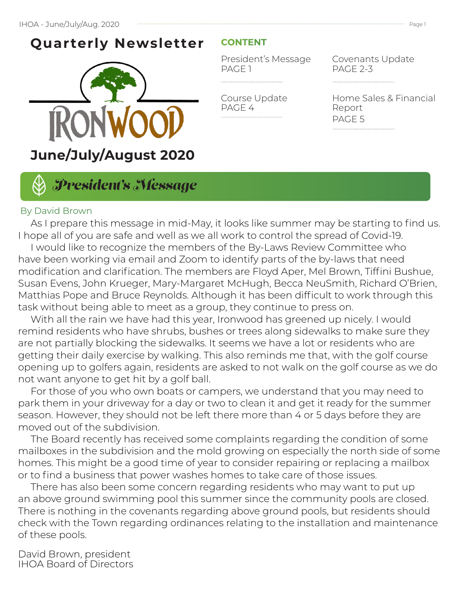# **Quarterly Newsletter**



### **CONTENT**

President's Message PAGE 1

Course Update PAGE 4

Covenants Update PAGE 2-3

Home Sales & Financial Report PAGE 5

# *President's Message*

#### By David Brown

 As I prepare this message in mid-May, it looks like summer may be starting to find us. I hope all of you are safe and well as we all work to control the spread of Covid-19.

 I would like to recognize the members of the By-Laws Review Committee who have been working via email and Zoom to identify parts of the by-laws that need modification and clarification. The members are Floyd Aper, Mel Brown, Tiffini Bushue, Susan Evens, John Krueger, Mary-Margaret McHugh, Becca NeuSmith, Richard O'Brien, Matthias Pope and Bruce Reynolds. Although it has been difficult to work through this task without being able to meet as a group, they continue to press on.

 With all the rain we have had this year, Ironwood has greened up nicely. I would remind residents who have shrubs, bushes or trees along sidewalks to make sure they are not partially blocking the sidewalks. It seems we have a lot or residents who are getting their daily exercise by walking. This also reminds me that, with the golf course opening up to golfers again, residents are asked to not walk on the golf course as we do not want anyone to get hit by a golf ball.

 For those of you who own boats or campers, we understand that you may need to park them in your driveway for a day or two to clean it and get it ready for the summer season. However, they should not be left there more than 4 or 5 days before they are moved out of the subdivision.

 The Board recently has received some complaints regarding the condition of some mailboxes in the subdivision and the mold growing on especially the north side of some homes. This might be a good time of year to consider repairing or replacing a mailbox or to find a business that power washes homes to take care of those issues.

 There has also been some concern regarding residents who may want to put up an above ground swimming pool this summer since the community pools are closed. There is nothing in the covenants regarding above ground pools, but residents should check with the Town regarding ordinances relating to the installation and maintenance of these pools.

David Brown, president IHOA Board of Directors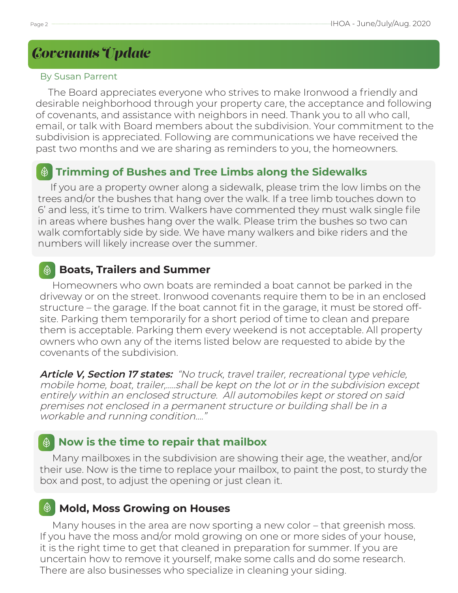# *Covenants Update*

#### By Susan Parrent

 The Board appreciates everyone who strives to make Ironwood a friendly and desirable neighborhood through your property care, the acceptance and following of covenants, and assistance with neighbors in need. Thank you to all who call, email, or talk with Board members about the subdivision. Your commitment to the subdivision is appreciated. Following are communications we have received the past two months and we are sharing as reminders to you, the homeowners.

## **Trimming of Bushes and Tree Limbs along the Sidewalks**

 If you are a property owner along a sidewalk, please trim the low limbs on the trees and/or the bushes that hang over the walk. If a tree limb touches down to 6' and less, it's time to trim. Walkers have commented they must walk single file in areas where bushes hang over the walk. Please trim the bushes so two can walk comfortably side by side. We have many walkers and bike riders and the numbers will likely increase over the summer.

## **Boats, Trailers and Summer**

 Homeowners who own boats are reminded a boat cannot be parked in the driveway or on the street. Ironwood covenants require them to be in an enclosed structure – the garage. If the boat cannot fit in the garage, it must be stored offsite. Parking them temporarily for a short period of time to clean and prepare them is acceptable. Parking them every weekend is not acceptable. All property owners who own any of the items listed below are requested to abide by the covenants of the subdivision.

**Article V, Section 17 states:** "No truck, travel trailer, recreational type vehicle, mobile home, boat, trailer,…..shall be kept on the lot or in the subdivision except entirely within an enclosed structure. All automobiles kept or stored on said premises not enclosed in a permanent structure or building shall be in a workable and running condition…."

# **Now is the time to repair that mailbox**

 Many mailboxes in the subdivision are showing their age, the weather, and/or their use. Now is the time to replace your mailbox, to paint the post, to sturdy the box and post, to adjust the opening or just clean it.

# **Mold, Moss Growing on Houses**

 Many houses in the area are now sporting a new color – that greenish moss. If you have the moss and/or mold growing on one or more sides of your house, it is the right time to get that cleaned in preparation for summer. If you are uncertain how to remove it yourself, make some calls and do some research. There are also businesses who specialize in cleaning your siding.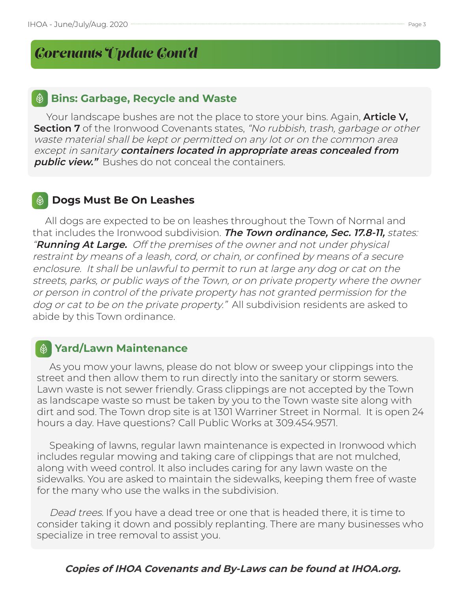# *Covenants Update Cont'd*

#### **Bins: Garbage, Recycle and Waste**

 Your landscape bushes are not the place to store your bins. Again, **Article V, Section 7** of the Ironwood Covenants states, "No rubbish, trash, garbage or other waste material shall be kept or permitted on any lot or on the common area except in sanitary **containers located in appropriate areas concealed from public view."** Bushes do not conceal the containers.

### **Dogs Must Be On Leashes**

 All dogs are expected to be on leashes throughout the Town of Normal and that includes the Ironwood subdivision. **The Town ordinance, Sec. 17.8-11,** states: "**Running At Large.** Off the premises of the owner and not under physical restraint by means of a leash, cord, or chain, or confined by means of a secure enclosure. It shall be unlawful to permit to run at large any dog or cat on the streets, parks, or public ways of the Town, or on private property where the owner or person in control of the private property has not granted permission for the dog or cat to be on the private property." All subdivision residents are asked to abide by this Town ordinance.

### **Yard/Lawn Maintenance**

 As you mow your lawns, please do not blow or sweep your clippings into the street and then allow them to run directly into the sanitary or storm sewers. Lawn waste is not sewer friendly. Grass clippings are not accepted by the Town as landscape waste so must be taken by you to the Town waste site along with dirt and sod. The Town drop site is at 1301 Warriner Street in Normal. It is open 24 hours a day. Have questions? Call Public Works at 309.454.9571.

 Speaking of lawns, regular lawn maintenance is expected in Ironwood which includes regular mowing and taking care of clippings that are not mulched, along with weed control. It also includes caring for any lawn waste on the sidewalks. You are asked to maintain the sidewalks, keeping them free of waste for the many who use the walks in the subdivision.

 Dead trees. If you have a dead tree or one that is headed there, it is time to consider taking it down and possibly replanting. There are many businesses who specialize in tree removal to assist you.

#### **Copies of IHOA Covenants and By-Laws can be found at IHOA.org.**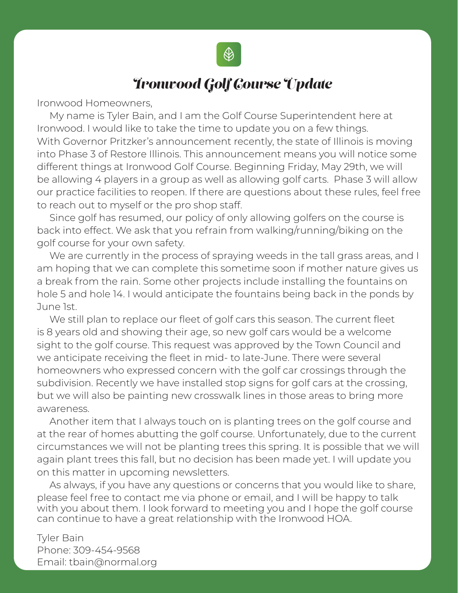

# *Ironwood Golf Course Update*

Ironwood Homeowners,

 My name is Tyler Bain, and I am the Golf Course Superintendent here at Ironwood. I would like to take the time to update you on a few things. With Governor Pritzker's announcement recently, the state of Illinois is moving into Phase 3 of Restore Illinois. This announcement means you will notice some different things at Ironwood Golf Course. Beginning Friday, May 29th, we will be allowing 4 players in a group as well as allowing golf carts. Phase 3 will allow our practice facilities to reopen. If there are questions about these rules, feel free to reach out to myself or the pro shop staff.

 Since golf has resumed, our policy of only allowing golfers on the course is back into effect. We ask that you refrain from walking/running/biking on the golf course for your own safety.

We are currently in the process of spraying weeds in the tall grass areas, and I am hoping that we can complete this sometime soon if mother nature gives us a break from the rain. Some other projects include installing the fountains on hole 5 and hole 14. I would anticipate the fountains being back in the ponds by June 1st.

 We still plan to replace our fleet of golf cars this season. The current fleet is 8 years old and showing their age, so new golf cars would be a welcome sight to the golf course. This request was approved by the Town Council and we anticipate receiving the fleet in mid- to late-June. There were several homeowners who expressed concern with the golf car crossings through the subdivision. Recently we have installed stop signs for golf cars at the crossing, but we will also be painting new crosswalk lines in those areas to bring more awareness.

 Another item that I always touch on is planting trees on the golf course and at the rear of homes abutting the golf course. Unfortunately, due to the current circumstances we will not be planting trees this spring. It is possible that we will again plant trees this fall, but no decision has been made yet. I will update you on this matter in upcoming newsletters.

 As always, if you have any questions or concerns that you would like to share, please feel free to contact me via phone or email, and I will be happy to talk with you about them. I look forward to meeting you and I hope the golf course can continue to have a great relationship with the Ironwood HOA.

Tyler Bain Phone: 309-454-9568 Email: tbain@normal.org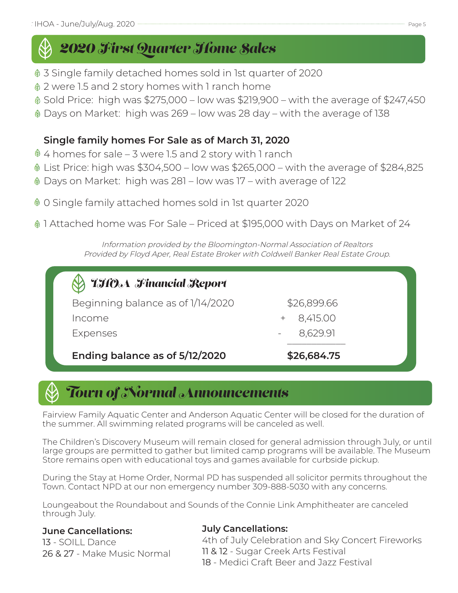# *2020 First Quarter Home Sales*

- 3 Single family detached homes sold in 1st quarter of 2020
- 2 were 1.5 and 2 story homes with 1 ranch home
- Sold Price: high was \$275,000 low was \$219,900 with the average of \$247,450
- Days on Market: high was 269 low was 28 day with the average of 138

## **Single family homes For Sale as of March 31, 2020**

- $\textcircled{4}$  4 homes for sale 3 were 1.5 and 2 story with 1 ranch
- List Price: high was \$304,500 low was \$265,000 with the average of \$284,825
- Days on Market: high was 281 low was 17 with average of 122
- 0 Single family attached homes sold in 1st quarter 2020
- 1 Attached home was For Sale Priced at \$195,000 with Days on Market of 24

Information provided by the Bloomington-Normal Association of Realtors Provided by Floyd Aper, Real Estate Broker with Coldwell Banker Real Estate Group.

# *IHOA Financial Report* Beginning balance as of 1/14/2020 \$26,899.66 Income + 8,415.00 Expenses - 8,629.91 **Ending balance as of 5/12/2020 \$26,684.75**

# *Town of Normal Announcements*

Fairview Family Aquatic Center and Anderson Aquatic Center will be closed for the duration of the summer. All swimming related programs will be canceled as well.

The Children's Discovery Museum will remain closed for general admission through July, or until large groups are permitted to gather but limited camp programs will be available. The Museum Store remains open with educational toys and games available for curbside pickup.

During the Stay at Home Order, Normal PD has suspended all solicitor permits throughout the Town. Contact NPD at our non emergency number 309-888-5030 with any concerns.

Loungeabout the Roundabout and Sounds of the Connie Link Amphitheater are canceled through July.

### **June Cancellations:**

13 - SOILL Dance 26 & 27 - Make Music Normal

#### **July Cancellations:**

4th of July Celebration and Sky Concert Fireworks 11 & 12 - Sugar Creek Arts Festival 18 - Medici Craft Beer and Jazz Festival